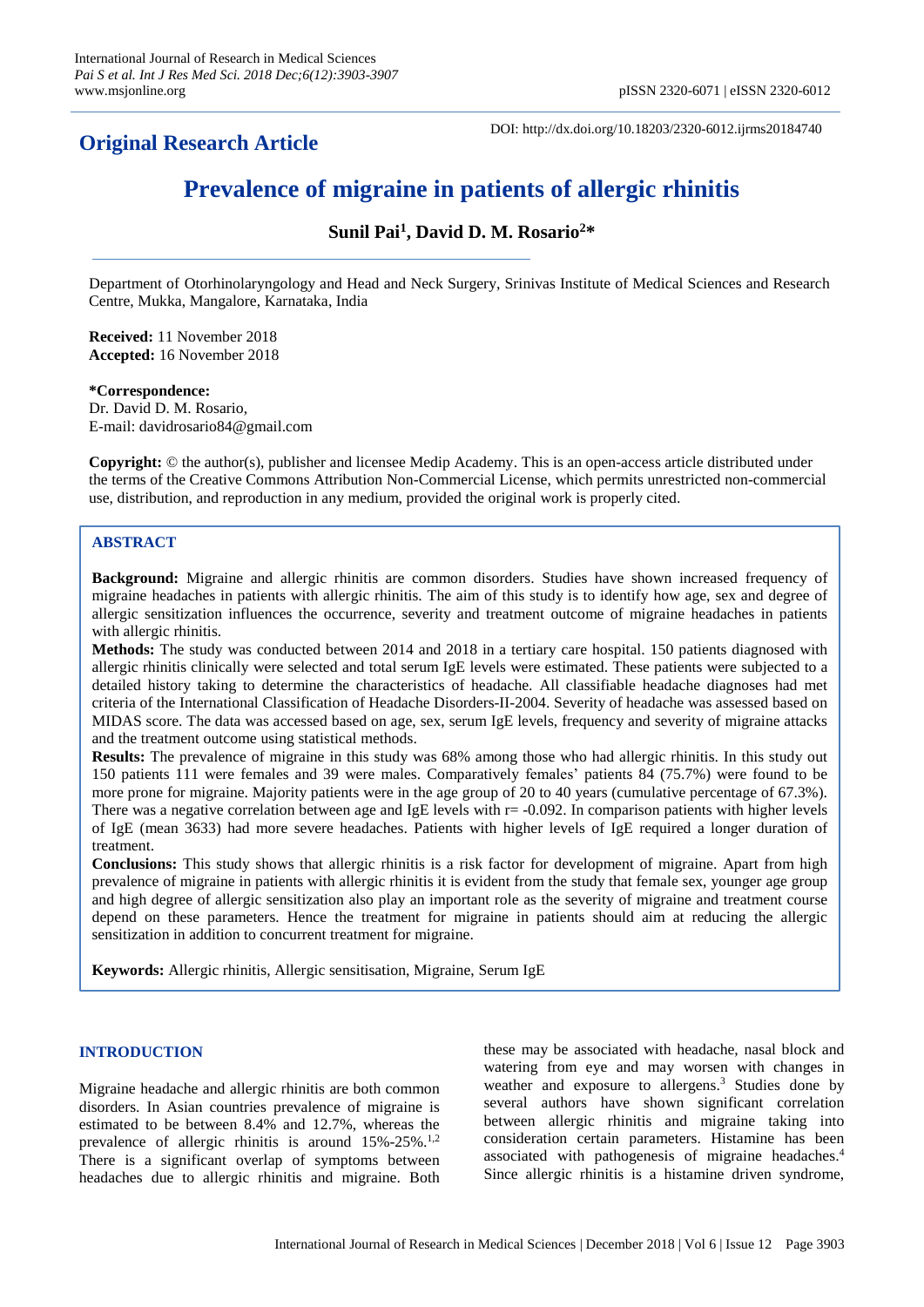# **Original Research Article**

DOI: http://dx.doi.org/10.18203/2320-6012.ijrms20184740

# **Prevalence of migraine in patients of allergic rhinitis**

**Sunil Pai<sup>1</sup> , David D. M. Rosario<sup>2</sup>\***

Department of Otorhinolaryngology and Head and Neck Surgery, Srinivas Institute of Medical Sciences and Research Centre, Mukka, Mangalore, Karnataka, India

**Received:** 11 November 2018 **Accepted:** 16 November 2018

**\*Correspondence:** Dr. David D. M. Rosario, E-mail: davidrosario84@gmail.com

**Copyright:** © the author(s), publisher and licensee Medip Academy. This is an open-access article distributed under the terms of the Creative Commons Attribution Non-Commercial License, which permits unrestricted non-commercial use, distribution, and reproduction in any medium, provided the original work is properly cited.

## **ABSTRACT**

**Background:** Migraine and allergic rhinitis are common disorders. Studies have shown increased frequency of migraine headaches in patients with allergic rhinitis. The aim of this study is to identify how age, sex and degree of allergic sensitization influences the occurrence, severity and treatment outcome of migraine headaches in patients with allergic rhinitis.

**Methods:** The study was conducted between 2014 and 2018 in a tertiary care hospital. 150 patients diagnosed with allergic rhinitis clinically were selected and total serum IgE levels were estimated. These patients were subjected to a detailed history taking to determine the characteristics of headache. All classifiable headache diagnoses had met criteria of the International Classification of Headache Disorders-II-2004. Severity of headache was assessed based on MIDAS score. The data was accessed based on age, sex, serum IgE levels, frequency and severity of migraine attacks and the treatment outcome using statistical methods.

**Results:** The prevalence of migraine in this study was 68% among those who had allergic rhinitis. In this study out 150 patients 111 were females and 39 were males. Comparatively females' patients 84 (75.7%) were found to be more prone for migraine. Majority patients were in the age group of 20 to 40 years (cumulative percentage of 67.3%). There was a negative correlation between age and IgE levels with  $r = -0.092$ . In comparison patients with higher levels of IgE (mean 3633) had more severe headaches. Patients with higher levels of IgE required a longer duration of treatment.

**Conclusions:** This study shows that allergic rhinitis is a risk factor for development of migraine. Apart from high prevalence of migraine in patients with allergic rhinitis it is evident from the study that female sex, younger age group and high degree of allergic sensitization also play an important role as the severity of migraine and treatment course depend on these parameters. Hence the treatment for migraine in patients should aim at reducing the allergic sensitization in addition to concurrent treatment for migraine.

**Keywords:** Allergic rhinitis, Allergic sensitisation, Migraine, Serum IgE

#### **INTRODUCTION**

Migraine headache and allergic rhinitis are both common disorders. In Asian countries prevalence of migraine is estimated to be between 8.4% and 12.7%, whereas the prevalence of allergic rhinitis is around 15%-25%.<sup>1,2</sup> There is a significant overlap of symptoms between headaches due to allergic rhinitis and migraine. Both these may be associated with headache, nasal block and watering from eye and may worsen with changes in weather and exposure to allergens. <sup>3</sup> Studies done by several authors have shown significant correlation between allergic rhinitis and migraine taking into consideration certain parameters. Histamine has been associated with pathogenesis of migraine headaches. 4 Since allergic rhinitis is a histamine driven syndrome,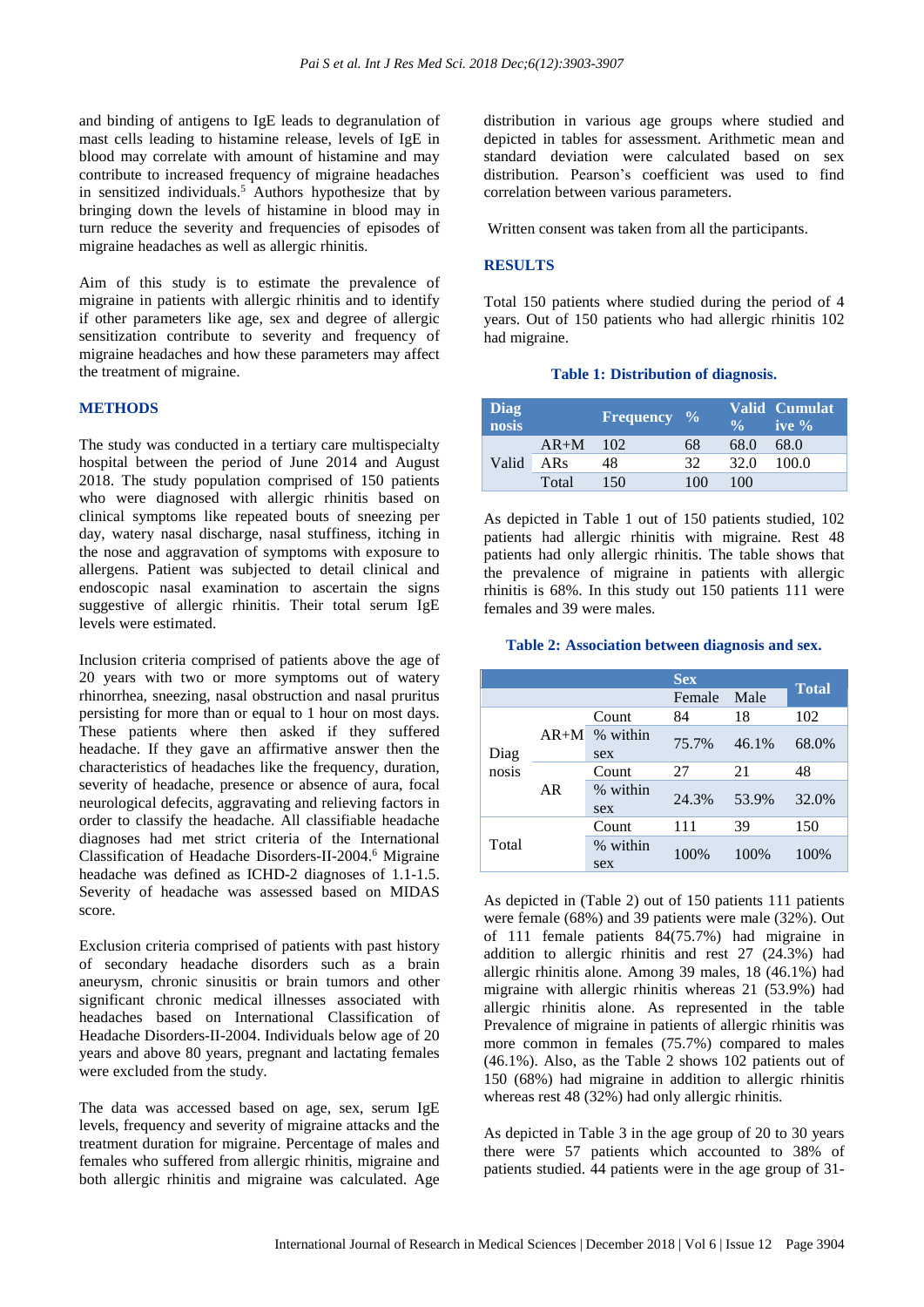and binding of antigens to IgE leads to degranulation of mast cells leading to histamine release, levels of IgE in blood may correlate with amount of histamine and may contribute to increased frequency of migraine headaches in sensitized individuals.<sup>5</sup> Authors hypothesize that by bringing down the levels of histamine in blood may in turn reduce the severity and frequencies of episodes of migraine headaches as well as allergic rhinitis.

Aim of this study is to estimate the prevalence of migraine in patients with allergic rhinitis and to identify if other parameters like age, sex and degree of allergic sensitization contribute to severity and frequency of migraine headaches and how these parameters may affect the treatment of migraine.

## **METHODS**

The study was conducted in a tertiary care multispecialty hospital between the period of June 2014 and August 2018. The study population comprised of 150 patients who were diagnosed with allergic rhinitis based on clinical symptoms like repeated bouts of sneezing per day, watery nasal discharge, nasal stuffiness, itching in the nose and aggravation of symptoms with exposure to allergens. Patient was subjected to detail clinical and endoscopic nasal examination to ascertain the signs suggestive of allergic rhinitis. Their total serum IgE levels were estimated.

Inclusion criteria comprised of patients above the age of 20 years with two or more symptoms out of watery rhinorrhea, sneezing, nasal obstruction and nasal pruritus persisting for more than or equal to 1 hour on most days. These patients where then asked if they suffered headache. If they gave an affirmative answer then the characteristics of headaches like the frequency, duration, severity of headache, presence or absence of aura, focal neurological defecits, aggravating and relieving factors in order to classify the headache. All classifiable headache diagnoses had met strict criteria of the International Classification of Headache Disorders-II-2004. <sup>6</sup> Migraine headache was defined as ICHD-2 diagnoses of 1.1-1.5. Severity of headache was assessed based on MIDAS score.

Exclusion criteria comprised of patients with past history of secondary headache disorders such as a brain aneurysm, chronic sinusitis or brain tumors and other significant chronic medical illnesses associated with headaches based on International Classification of Headache Disorders-II-2004. Individuals below age of 20 years and above 80 years, pregnant and lactating females were excluded from the study.

The data was accessed based on age, sex, serum IgE levels, frequency and severity of migraine attacks and the treatment duration for migraine. Percentage of males and females who suffered from allergic rhinitis, migraine and both allergic rhinitis and migraine was calculated. Age

distribution in various age groups where studied and depicted in tables for assessment. Arithmetic mean and standard deviation were calculated based on sex distribution. Pearson's coefficient was used to find correlation between various parameters.

Written consent was taken from all the participants.

## **RESULTS**

Total 150 patients where studied during the period of 4 years. Out of 150 patients who had allergic rhinitis 102 had migraine.

#### **Table 1: Distribution of diagnosis.**

| <b>Diag</b><br>nosis |            | <b>Frequency</b> $\frac{9}{6}$ |     |      | Valid Cumulat<br>ive $\%$ |
|----------------------|------------|--------------------------------|-----|------|---------------------------|
| Valid                | $AR+M$ 102 |                                | 68  | 68.0 | 68.0                      |
|                      | ARs        | 48                             | 32  | 32.O | 100.0                     |
|                      | Total      | 150                            | 100 | 100  |                           |

As depicted in Table 1 out of 150 patients studied, 102 patients had allergic rhinitis with migraine. Rest 48 patients had only allergic rhinitis. The table shows that the prevalence of migraine in patients with allergic rhinitis is 68%. In this study out 150 patients 111 were females and 39 were males.

#### **Table 2: Association between diagnosis and sex.**

| <b>Sex</b>    |        |                 |        |       |              |
|---------------|--------|-----------------|--------|-------|--------------|
|               |        |                 | Female | Male  | <b>Total</b> |
| Diag<br>nosis | $AR+M$ | Count           | 84     | 18    | 102          |
|               |        | % within<br>sex | 75.7%  | 46.1% | 68.0%        |
|               | AR     | Count           | 27     | 21    | 48           |
|               |        | % within<br>sex | 24.3%  | 53.9% | 32.0%        |
|               |        | Count           | 111    | 39    | 150          |
| Total         |        | % within<br>sex | 100%   | 100\% | 100%         |

As depicted in (Table 2) out of 150 patients 111 patients were female (68%) and 39 patients were male (32%). Out of 111 female patients 84(75.7%) had migraine in addition to allergic rhinitis and rest 27 (24.3%) had allergic rhinitis alone. Among 39 males, 18 (46.1%) had migraine with allergic rhinitis whereas 21 (53.9%) had allergic rhinitis alone. As represented in the table Prevalence of migraine in patients of allergic rhinitis was more common in females (75.7%) compared to males (46.1%). Also, as the Table 2 shows 102 patients out of 150 (68%) had migraine in addition to allergic rhinitis whereas rest 48 (32%) had only allergic rhinitis.

As depicted in Table 3 in the age group of 20 to 30 years there were 57 patients which accounted to 38% of patients studied. 44 patients were in the age group of 31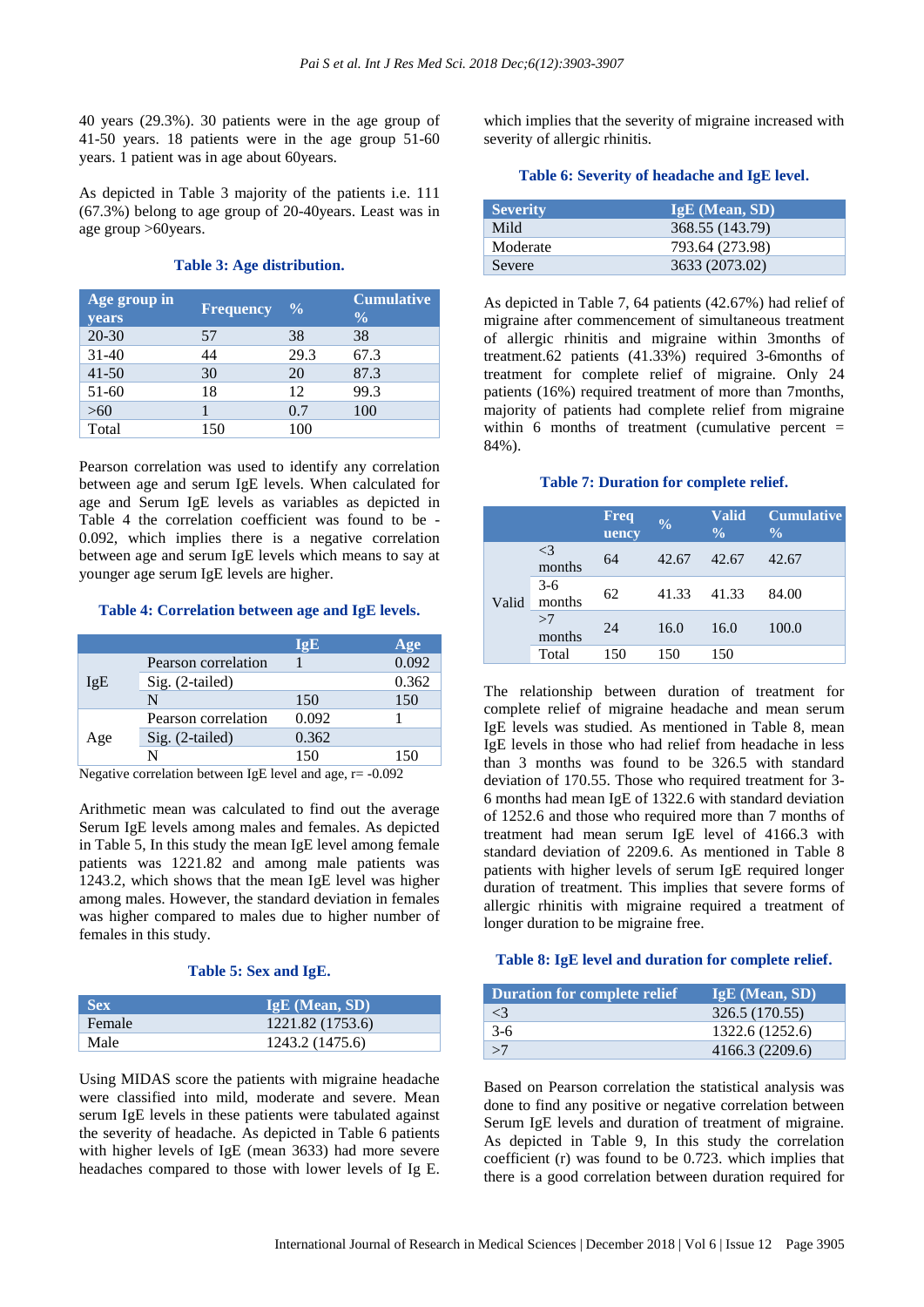40 years (29.3%). 30 patients were in the age group of 41-50 years. 18 patients were in the age group 51-60 years. 1 patient was in age about 60years.

As depicted in Table 3 majority of the patients i.e. 111 (67.3%) belong to age group of 20-40years. Least was in age group >60years.

#### **Table 3: Age distribution.**

| Age group in<br><b>years</b> | <b>Frequency</b> | $\frac{0}{0}$ | <b>Cumulative</b><br>$\frac{0}{0}$ |
|------------------------------|------------------|---------------|------------------------------------|
| $20 - 30$                    | 57               | 38            | 38                                 |
| $31 - 40$                    | 44               | 29.3          | 67.3                               |
| $41 - 50$                    | 30               | 20            | 87.3                               |
| $51-60$                      | 18               | 12            | 99.3                               |
| >60                          |                  | 0.7           | 100                                |
| Total                        | 150              | 100           |                                    |

Pearson correlation was used to identify any correlation between age and serum IgE levels. When calculated for age and Serum IgE levels as variables as depicted in Table 4 the correlation coefficient was found to be - 0.092, which implies there is a negative correlation between age and serum IgE levels which means to say at younger age serum IgE levels are higher.

### **Table 4: Correlation between age and IgE levels.**

|     |                     | I¤E   | Age   |
|-----|---------------------|-------|-------|
|     | Pearson correlation |       | 0.092 |
| IgE | Sig. (2-tailed)     |       | 0.362 |
|     | N                   | 150   | 150   |
|     | Pearson correlation | 0.092 |       |
| Age | $Sig. (2-tailed)$   | 0.362 |       |
|     |                     | 150   | 150   |

Negative correlation between IgE level and age, r= -0.092

Arithmetic mean was calculated to find out the average Serum IgE levels among males and females. As depicted in Table 5, In this study the mean IgE level among female patients was 1221.82 and among male patients was 1243.2, which shows that the mean IgE level was higher among males. However, the standard deviation in females was higher compared to males due to higher number of females in this study.

#### **Table 5: Sex and IgE.**

| <b>Sex</b> | $IgE$ (Mean, SD) |
|------------|------------------|
| Female     | 1221.82 (1753.6) |
| Male       | 1243.2 (1475.6)  |

Using MIDAS score the patients with migraine headache were classified into mild, moderate and severe. Mean serum IgE levels in these patients were tabulated against the severity of headache. As depicted in Table 6 patients with higher levels of IgE (mean 3633) had more severe headaches compared to those with lower levels of Ig E. which implies that the severity of migraine increased with severity of allergic rhinitis.

#### **Table 6: Severity of headache and IgE level.**

| <b>Severity</b> | <b>IgE</b> (Mean, SD) |
|-----------------|-----------------------|
| Mild            | 368.55 (143.79)       |
| Moderate        | 793.64 (273.98)       |
| Severe          | 3633 (2073.02)        |

As depicted in Table 7, 64 patients (42.67%) had relief of migraine after commencement of simultaneous treatment of allergic rhinitis and migraine within 3months of treatment.62 patients (41.33%) required 3-6months of treatment for complete relief of migraine. Only 24 patients (16%) required treatment of more than 7months, majority of patients had complete relief from migraine within 6 months of treatment (cumulative percent  $=$ 84%).

#### **Table 7: Duration for complete relief.**

|       |                    | <b>Freq</b><br>uency | $\frac{0}{0}$ | <b>Valid</b><br>$\frac{0}{0}$ | <b>Cumulative</b><br>$\frac{0}{0}$ |
|-------|--------------------|----------------------|---------------|-------------------------------|------------------------------------|
| Valid | $\leq$ 3<br>months | 64                   | 42.67         | 42.67                         | 42.67                              |
|       | $3-6$<br>months    | 62                   | 41.33         | 41.33                         | 84.00                              |
|       | >7<br>months       | 24                   | 16.0          | 16.0                          | 100.0                              |
|       | Total              | 150                  | 150           | 150                           |                                    |

The relationship between duration of treatment for complete relief of migraine headache and mean serum IgE levels was studied. As mentioned in Table 8, mean IgE levels in those who had relief from headache in less than 3 months was found to be 326.5 with standard deviation of 170.55. Those who required treatment for 3- 6 months had mean IgE of 1322.6 with standard deviation of 1252.6 and those who required more than 7 months of treatment had mean serum IgE level of 4166.3 with standard deviation of 2209.6. As mentioned in Table 8 patients with higher levels of serum IgE required longer duration of treatment. This implies that severe forms of allergic rhinitis with migraine required a treatment of longer duration to be migraine free.

## **Table 8: IgE level and duration for complete relief.**

| <b>Duration for complete relief</b> | <b>IgE</b> (Mean, SD) |
|-------------------------------------|-----------------------|
| $\lt^2$                             | 326.5 (170.55)        |
| $3-6$                               | 1322.6 (1252.6)       |
| >7                                  | 4166.3 (2209.6)       |

Based on Pearson correlation the statistical analysis was done to find any positive or negative correlation between Serum IgE levels and duration of treatment of migraine. As depicted in Table 9, In this study the correlation coefficient (r) was found to be 0.723. which implies that there is a good correlation between duration required for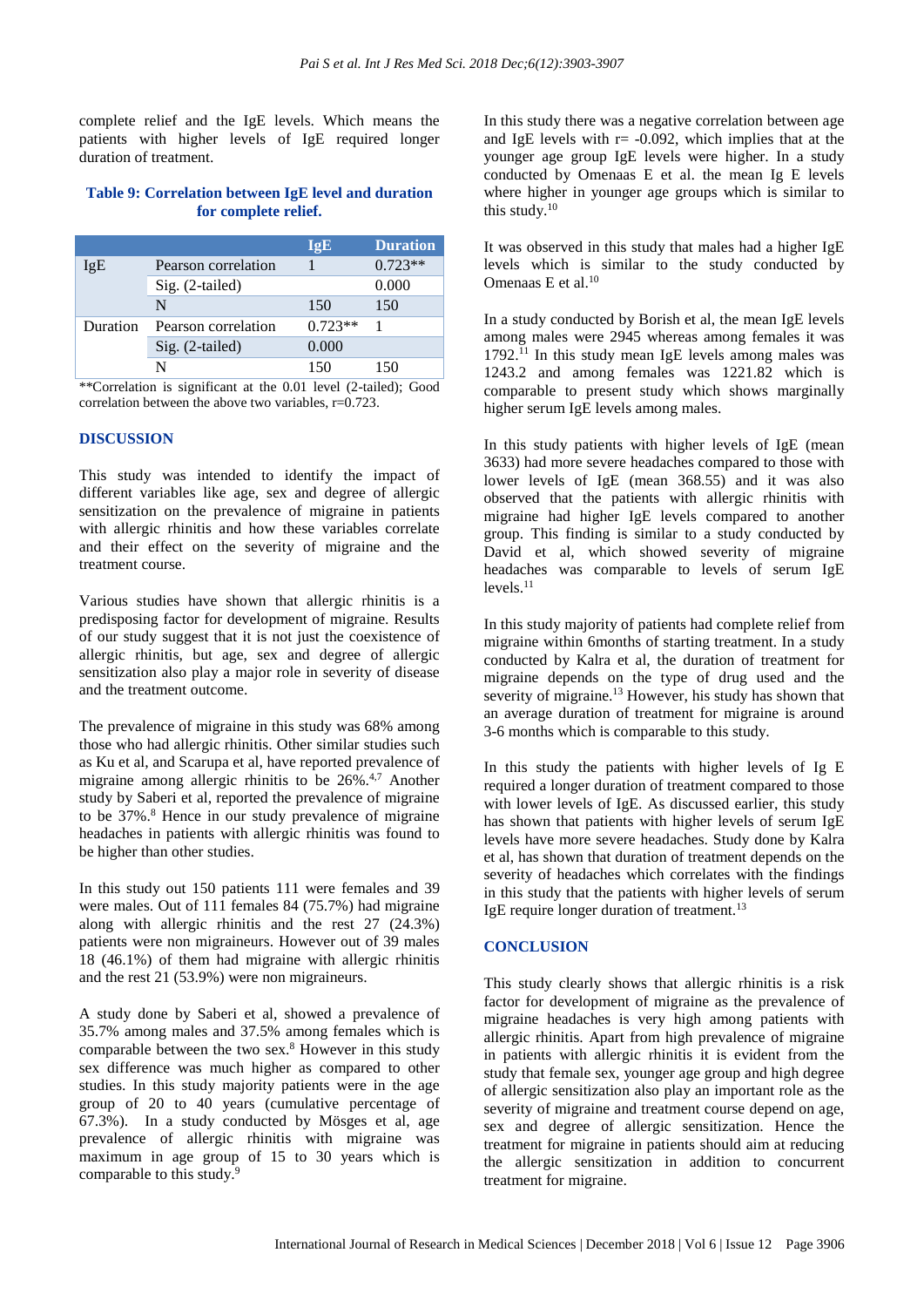complete relief and the IgE levels. Which means the patients with higher levels of IgE required longer duration of treatment.

# **Table 9: Correlation between IgE level and duration for complete relief.**

|          |                     | IgE       | <b>Duration</b> |
|----------|---------------------|-----------|-----------------|
| IgE      | Pearson correlation |           | $0.723**$       |
|          | $Sig. (2-tailed)$   |           | 0.000           |
|          | N                   | 150       | 150             |
| Duration | Pearson correlation | $0.723**$ |                 |
|          | $Sig. (2-tailed)$   | 0.000     |                 |
|          |                     | 150       | 150             |

\*\*Correlation is significant at the 0.01 level (2-tailed); Good correlation between the above two variables,  $r=0.723$ .

# **DISCUSSION**

This study was intended to identify the impact of different variables like age, sex and degree of allergic sensitization on the prevalence of migraine in patients with allergic rhinitis and how these variables correlate and their effect on the severity of migraine and the treatment course.

Various studies have shown that allergic rhinitis is a predisposing factor for development of migraine. Results of our study suggest that it is not just the coexistence of allergic rhinitis, but age, sex and degree of allergic sensitization also play a major role in severity of disease and the treatment outcome.

The prevalence of migraine in this study was 68% among those who had allergic rhinitis. Other similar studies such as Ku et al, and Scarupa et al, have reported prevalence of migraine among allergic rhinitis to be  $26\%$ .<sup>4,7</sup> Another study by Saberi et al, reported the prevalence of migraine to be  $37\%$ .<sup>8</sup> Hence in our study prevalence of migraine headaches in patients with allergic rhinitis was found to be higher than other studies.

In this study out 150 patients 111 were females and 39 were males. Out of 111 females 84 (75.7%) had migraine along with allergic rhinitis and the rest 27 (24.3%) patients were non migraineurs. However out of 39 males 18 (46.1%) of them had migraine with allergic rhinitis and the rest 21 (53.9%) were non migraineurs.

A study done by Saberi et al, showed a prevalence of 35.7% among males and 37.5% among females which is comparable between the two sex.<sup>8</sup> However in this study sex difference was much higher as compared to other studies. In this study majority patients were in the age group of 20 to 40 years (cumulative percentage of 67.3%). In a study conducted by Mösges et al, age prevalence of allergic rhinitis with migraine was maximum in age group of 15 to 30 years which is comparable to this study. 9

In this study there was a negative correlation between age and IgE levels with  $r = -0.092$ , which implies that at the younger age group IgE levels were higher. In a study conducted by Omenaas E et al. the mean Ig E levels where higher in younger age groups which is similar to this study.<sup>10</sup>

It was observed in this study that males had a higher IgE levels which is similar to the study conducted by Omenaas E et al. 10

In a study conducted by Borish et al, the mean IgE levels among males were 2945 whereas among females it was  $1792$ .<sup>11</sup> In this study mean IgE levels among males was 1243.2 and among females was 1221.82 which is comparable to present study which shows marginally higher serum IgE levels among males.

In this study patients with higher levels of IgE (mean 3633) had more severe headaches compared to those with lower levels of IgE (mean 368.55) and it was also observed that the patients with allergic rhinitis with migraine had higher IgE levels compared to another group. This finding is similar to a study conducted by David et al, which showed severity of migraine headaches was comparable to levels of serum IgE  $levels.$ <sup>11</sup>

In this study majority of patients had complete relief from migraine within 6months of starting treatment. In a study conducted by Kalra et al, the duration of treatment for migraine depends on the type of drug used and the severity of migraine.<sup>13</sup> However, his study has shown that an average duration of treatment for migraine is around 3-6 months which is comparable to this study.

In this study the patients with higher levels of Ig E required a longer duration of treatment compared to those with lower levels of IgE. As discussed earlier, this study has shown that patients with higher levels of serum IgE levels have more severe headaches. Study done by Kalra et al, has shown that duration of treatment depends on the severity of headaches which correlates with the findings in this study that the patients with higher levels of serum IgE require longer duration of treatment.<sup>13</sup>

#### **CONCLUSION**

This study clearly shows that allergic rhinitis is a risk factor for development of migraine as the prevalence of migraine headaches is very high among patients with allergic rhinitis. Apart from high prevalence of migraine in patients with allergic rhinitis it is evident from the study that female sex, younger age group and high degree of allergic sensitization also play an important role as the severity of migraine and treatment course depend on age, sex and degree of allergic sensitization. Hence the treatment for migraine in patients should aim at reducing the allergic sensitization in addition to concurrent treatment for migraine.